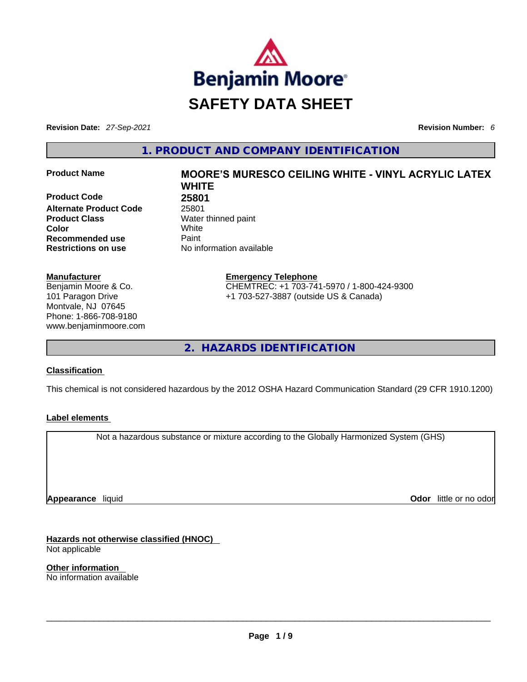

**Revision Date:** *27-Sep-2021* **Revision Number:** *6*

**1. PRODUCT AND COMPANY IDENTIFICATION** 

**Product Code 68 25801<br>Alternate Product Code 68 25801 Alternate Product Code Product Class Water thinned paint**<br> **Color White Color** White **Recommended use <b>Paint Restrictions on use** No information available

#### **Manufacturer**

Benjamin Moore & Co. 101 Paragon Drive Montvale, NJ 07645 Phone: 1-866-708-9180 www.benjaminmoore.com

# **Product Name MOORE'S MURESCO CEILING WHITE -VINYL ACRYLIC LATEX WHITE**

**Emergency Telephone** CHEMTREC: +1 703-741-5970 / 1-800-424-9300 +1 703-527-3887 (outside US & Canada)

**2. HAZARDS IDENTIFICATION** 

#### **Classification**

This chemical is not considered hazardous by the 2012 OSHA Hazard Communication Standard (29 CFR 1910.1200)

#### **Label elements**

Not a hazardous substance or mixture according to the Globally Harmonized System (GHS)

**Appearance** liquid

**Odor** little or no odor

**Hazards not otherwise classified (HNOC)**  Not applicable

**Other information**  No information available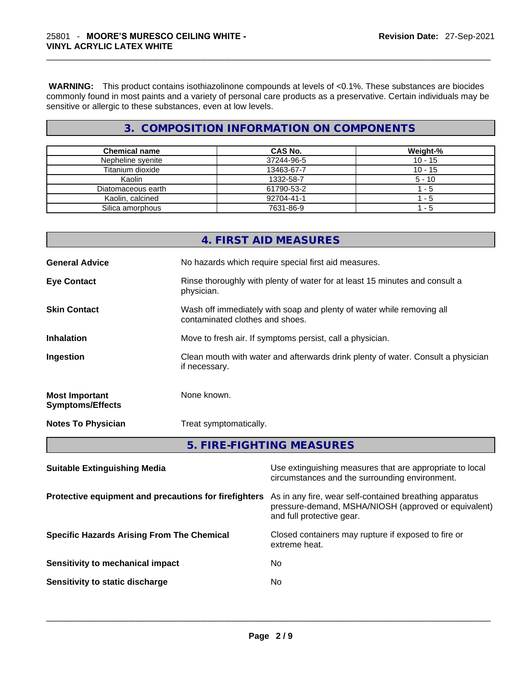**WARNING:** This product contains isothiazolinone compounds at levels of <0.1%. These substances are biocides commonly found in most paints and a variety of personal care products as a preservative. Certain individuals may be sensitive or allergic to these substances, even at low levels.

# **3. COMPOSITION INFORMATION ON COMPONENTS**

| <b>Chemical name</b> | CAS No.    | Weight-%  |
|----------------------|------------|-----------|
| Nepheline svenite    | 37244-96-5 | $10 - 15$ |
| Titanium dioxide     | 13463-67-7 | $10 - 15$ |
| Kaolin               | 1332-58-7  | 5 - 10    |
| Diatomaceous earth   | 61790-53-2 | 1 - 5     |
| Kaolin, calcined     | 92704-41-1 | 1 - 5     |
| Silica amorphous     | 7631-86-9  | 1 - 5     |

| if necessary.<br><b>Most Important</b><br>None known.<br><b>Symptoms/Effects</b><br>Treat symptomatically.<br><b>Notes To Physician</b><br>5. FIRE-FIGHTING MEASURES |  |
|----------------------------------------------------------------------------------------------------------------------------------------------------------------------|--|
|                                                                                                                                                                      |  |
|                                                                                                                                                                      |  |
|                                                                                                                                                                      |  |
| Clean mouth with water and afterwards drink plenty of water. Consult a physician<br>Ingestion                                                                        |  |
| <b>Inhalation</b><br>Move to fresh air. If symptoms persist, call a physician.                                                                                       |  |
| <b>Skin Contact</b><br>Wash off immediately with soap and plenty of water while removing all<br>contaminated clothes and shoes.                                      |  |
| <b>Eye Contact</b><br>Rinse thoroughly with plenty of water for at least 15 minutes and consult a<br>physician.                                                      |  |
| No hazards which require special first aid measures.<br><b>General Advice</b>                                                                                        |  |
| 4. FIRST AID MEASURES                                                                                                                                                |  |

| <b>Panapic Extinguishing meand</b>                    | oud own igaioning modeated that are appropriate to local<br>circumstances and the surrounding environment.                                   |
|-------------------------------------------------------|----------------------------------------------------------------------------------------------------------------------------------------------|
| Protective equipment and precautions for firefighters | As in any fire, wear self-contained breathing apparatus<br>pressure-demand, MSHA/NIOSH (approved or equivalent)<br>and full protective gear. |
| <b>Specific Hazards Arising From The Chemical</b>     | Closed containers may rupture if exposed to fire or<br>extreme heat.                                                                         |
| Sensitivity to mechanical impact                      | No.                                                                                                                                          |
| Sensitivity to static discharge                       | No.                                                                                                                                          |
|                                                       |                                                                                                                                              |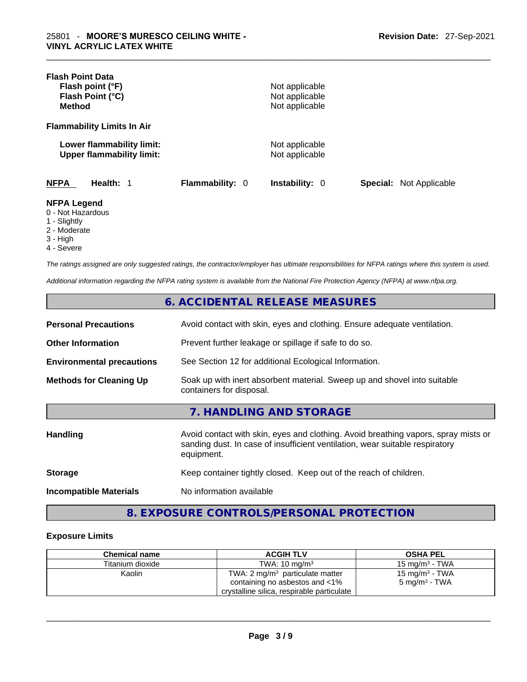| <b>Flash Point Data</b><br>Flash point (°F)<br>Flash Point (°C)<br><b>Method</b> |                        | Not applicable<br>Not applicable<br>Not applicable |                                |  |
|----------------------------------------------------------------------------------|------------------------|----------------------------------------------------|--------------------------------|--|
| <b>Flammability Limits In Air</b>                                                |                        |                                                    |                                |  |
| Lower flammability limit:<br><b>Upper flammability limit:</b>                    |                        | Not applicable<br>Not applicable                   |                                |  |
| <b>NFPA</b><br>Health: 1                                                         | <b>Flammability: 0</b> | <b>Instability: 0</b>                              | <b>Special:</b> Not Applicable |  |
| <b>NFPA Legend</b><br>0 - Not Hazardous<br>1 - Slightly<br>2 Moderate            |                        |                                                    |                                |  |

- 2 Moderate
- 3 High
- 4 Severe

*The ratings assigned are only suggested ratings, the contractor/employer has ultimate responsibilities for NFPA ratings where this system is used.* 

*Additional information regarding the NFPA rating system is available from the National Fire Protection Agency (NFPA) at www.nfpa.org.* 

# **6. ACCIDENTAL RELEASE MEASURES**

| <b>Personal Precautions</b>      | Avoid contact with skin, eyes and clothing. Ensure adequate ventilation.                             |
|----------------------------------|------------------------------------------------------------------------------------------------------|
| <b>Other Information</b>         | Prevent further leakage or spillage if safe to do so.                                                |
| <b>Environmental precautions</b> | See Section 12 for additional Ecological Information.                                                |
| <b>Methods for Cleaning Up</b>   | Soak up with inert absorbent material. Sweep up and shovel into suitable<br>containers for disposal. |

# **7. HANDLING AND STORAGE**

| <b>Handling</b>               | Avoid contact with skin, eyes and clothing. Avoid breathing vapors, spray mists or<br>sanding dust. In case of insufficient ventilation, wear suitable respiratory<br>equipment. |
|-------------------------------|----------------------------------------------------------------------------------------------------------------------------------------------------------------------------------|
| <b>Storage</b>                | Keep container tightly closed. Keep out of the reach of children.                                                                                                                |
| <b>Incompatible Materials</b> | No information available                                                                                                                                                         |

**8. EXPOSURE CONTROLS/PERSONAL PROTECTION** 

#### **Exposure Limits**

| <b>Chemical name</b> | <b>ACGIH TLV</b>                           | <b>OSHA PEL</b>   |
|----------------------|--------------------------------------------|-------------------|
| Titanium dioxide     | TWA: $10 \text{ ma/m}^3$                   | 15 mg/m $3$ - TWA |
| Kaolin               | TWA: 2 $mg/m3$ particulate matter          | 15 mg/m $3$ - TWA |
|                      | containing no asbestos and <1%             | 5 mg/m $^3$ - TWA |
|                      | crystalline silica, respirable particulate |                   |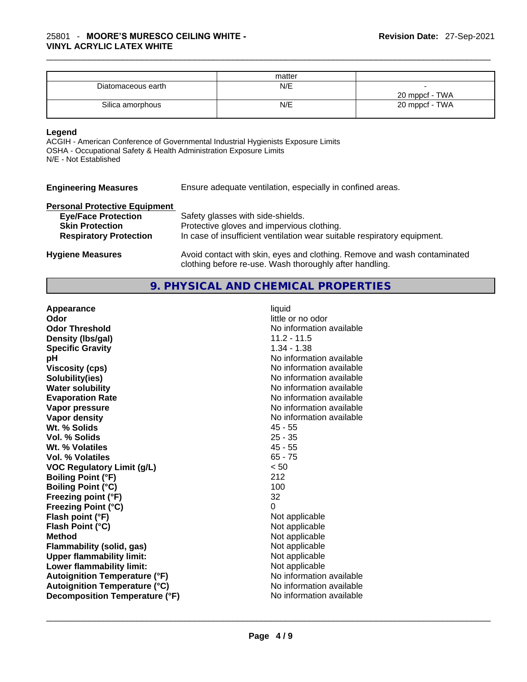|                    | matter |                |
|--------------------|--------|----------------|
| Diatomaceous earth | N/E    |                |
|                    |        | 20 mppcf - TWA |
| Silica amorphous   | N/E    | 20 mppcf - TWA |

#### **Legend**

ACGIH - American Conference of Governmental Industrial Hygienists Exposure Limits OSHA - Occupational Safety & Health Administration Exposure Limits N/E - Not Established

| <b>Engineering Measures</b> | Ensure adequate ventilation, especially in confined areas. |  |
|-----------------------------|------------------------------------------------------------|--|
|-----------------------------|------------------------------------------------------------|--|

# **Personal Protective Equipment**

| <b>Eye/Face Protection</b>    | Safety glasses with side-shields.                                                                                                   |
|-------------------------------|-------------------------------------------------------------------------------------------------------------------------------------|
| <b>Skin Protection</b>        | Protective gloves and impervious clothing.                                                                                          |
| <b>Respiratory Protection</b> | In case of insufficient ventilation wear suitable respiratory equipment.                                                            |
| <b>Hygiene Measures</b>       | Avoid contact with skin, eyes and clothing. Remove and wash contaminated<br>clothing before re-use. Wash thoroughly after handling. |

# **9. PHYSICAL AND CHEMICAL PROPERTIES**

| Appearance                           | liquid                   |
|--------------------------------------|--------------------------|
| Odor                                 | little or no odor        |
| <b>Odor Threshold</b>                | No information available |
| Density (Ibs/gal)                    | $11.2 - 11.5$            |
| <b>Specific Gravity</b>              | $1.34 - 1.38$            |
| pH                                   | No information available |
| <b>Viscosity (cps)</b>               | No information available |
| Solubility(ies)                      | No information available |
| <b>Water solubility</b>              | No information available |
| <b>Evaporation Rate</b>              | No information available |
| Vapor pressure                       | No information available |
| Vapor density                        | No information available |
| Wt. % Solids                         | $45 - 55$                |
| Vol. % Solids                        | $25 - 35$                |
| Wt. % Volatiles                      | $45 - 55$                |
| Vol. % Volatiles                     | $65 - 75$                |
| <b>VOC Regulatory Limit (g/L)</b>    | < 50                     |
| <b>Boiling Point (°F)</b>            | 212                      |
| <b>Boiling Point (°C)</b>            | 100                      |
| Freezing point (°F)                  | 32                       |
| <b>Freezing Point (°C)</b>           | $\Omega$                 |
| Flash point (°F)                     | Not applicable           |
| Flash Point (°C)                     | Not applicable           |
| <b>Method</b>                        | Not applicable           |
| <b>Flammability (solid, gas)</b>     | Not applicable           |
| <b>Upper flammability limit:</b>     | Not applicable           |
| Lower flammability limit:            | Not applicable           |
| <b>Autoignition Temperature (°F)</b> | No information available |
| <b>Autoignition Temperature (°C)</b> | No information available |
| Decomposition Temperature (°F)       | No information available |
|                                      |                          |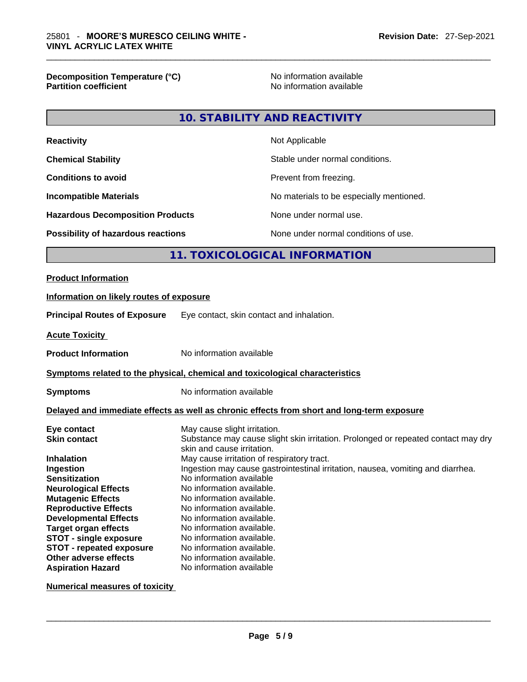**Decomposition Temperature (°C)** No information available **Partition coefficient** 

## **10. STABILITY AND REACTIVITY**

| Not Applicable                           |
|------------------------------------------|
| Stable under normal conditions.          |
| Prevent from freezing.                   |
| No materials to be especially mentioned. |
| None under normal use.                   |
| None under normal conditions of use.     |
|                                          |

#### **11. TOXICOLOGICAL INFORMATION**

#### **Product Information**

# **Information on likely routes of exposure Principal Routes of Exposure** Eye contact, skin contact and inhalation. **Acute Toxicity Product Information** No information available **<u>Symptoms related to the physical, chemical and toxicological characteristics</u> Symptoms** No information available **Delayed and immediate effects as well as chronic effects from short and long-term exposure**

| Eye contact                     | May cause slight irritation.                                                      |
|---------------------------------|-----------------------------------------------------------------------------------|
| <b>Skin contact</b>             | Substance may cause slight skin irritation. Prolonged or repeated contact may dry |
|                                 | skin and cause irritation.                                                        |
| <b>Inhalation</b>               | May cause irritation of respiratory tract.                                        |
| Ingestion                       | Ingestion may cause gastrointestinal irritation, nausea, vomiting and diarrhea.   |
| <b>Sensitization</b>            | No information available                                                          |
| <b>Neurological Effects</b>     | No information available.                                                         |
| <b>Mutagenic Effects</b>        | No information available.                                                         |
| <b>Reproductive Effects</b>     | No information available.                                                         |
| <b>Developmental Effects</b>    | No information available.                                                         |
| <b>Target organ effects</b>     | No information available.                                                         |
| <b>STOT - single exposure</b>   | No information available.                                                         |
| <b>STOT - repeated exposure</b> | No information available.                                                         |
| Other adverse effects           | No information available.                                                         |
| <b>Aspiration Hazard</b>        | No information available                                                          |

**Numerical measures of toxicity**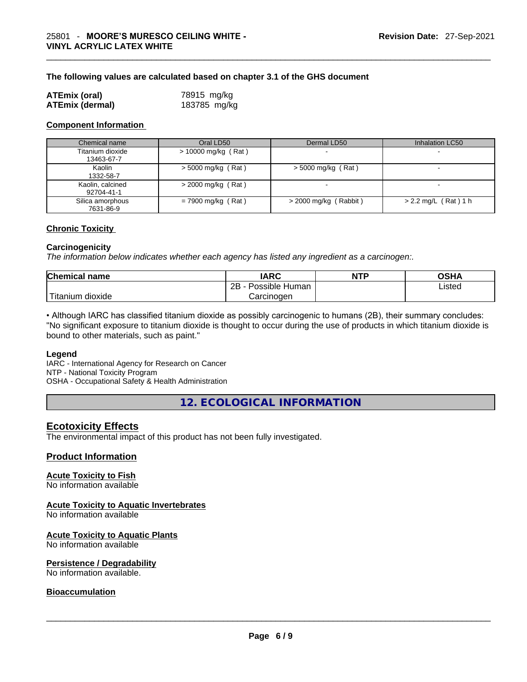#### **The following values are calculated based on chapter 3.1 of the GHS document**

| <b>ATEmix (oral)</b>   | 78915 mg/kg  |
|------------------------|--------------|
| <b>ATEmix (dermal)</b> | 183785 mg/kg |

#### **Component Information**

| Chemical name                  | Oral LD50             | Dermal LD50             | Inhalation LC50          |
|--------------------------------|-----------------------|-------------------------|--------------------------|
| Titanium dioxide<br>13463-67-7 | $> 10000$ mg/kg (Rat) |                         | $\sim$                   |
| Kaolin<br>1332-58-7            | $>$ 5000 mg/kg (Rat)  | $>$ 5000 mg/kg (Rat)    | $\,$                     |
| Kaolin, calcined<br>92704-41-1 | $>$ 2000 mg/kg (Rat)  |                         | $\overline{\phantom{0}}$ |
| Silica amorphous<br>7631-86-9  | $= 7900$ mg/kg (Rat)  | $>$ 2000 mg/kg (Rabbit) | $> 2.2$ mg/L (Rat) 1 h   |

#### **Chronic Toxicity**

#### **Carcinogenicity**

*The information below indicates whether each agency has listed any ingredient as a carcinogen:.* 

| <b>Chemical name</b>    | IARC                 | <b>NTP</b> | OSHA   |
|-------------------------|----------------------|------------|--------|
|                         | 2B<br>Possible Human |            | ∟isted |
| ' Titanium J<br>dioxide | Carcinoɑen           |            |        |

• Although IARC has classified titanium dioxide as possibly carcinogenic to humans (2B), their summary concludes: "No significant exposure to titanium dioxide is thought to occur during the use of products in which titanium dioxide is bound to other materials, such as paint."

#### **Legend**

IARC - International Agency for Research on Cancer NTP - National Toxicity Program OSHA - Occupational Safety & Health Administration

**12. ECOLOGICAL INFORMATION** 

#### **Ecotoxicity Effects**

The environmental impact of this product has not been fully investigated.

#### **Product Information**

#### **Acute Toxicity to Fish**

No information available

#### **Acute Toxicity to Aquatic Invertebrates**

No information available

#### **Acute Toxicity to Aquatic Plants**

No information available

#### **Persistence / Degradability**

No information available. \_\_\_\_\_\_\_\_\_\_\_\_\_\_\_\_\_\_\_\_\_\_\_\_\_\_\_\_\_\_\_\_\_\_\_\_\_\_\_\_\_\_\_\_\_\_\_\_\_\_\_\_\_\_\_\_\_\_\_\_\_\_\_\_\_\_\_\_\_\_\_\_\_\_\_\_\_\_\_\_\_\_\_\_\_\_\_\_\_\_\_\_\_

#### **Bioaccumulation**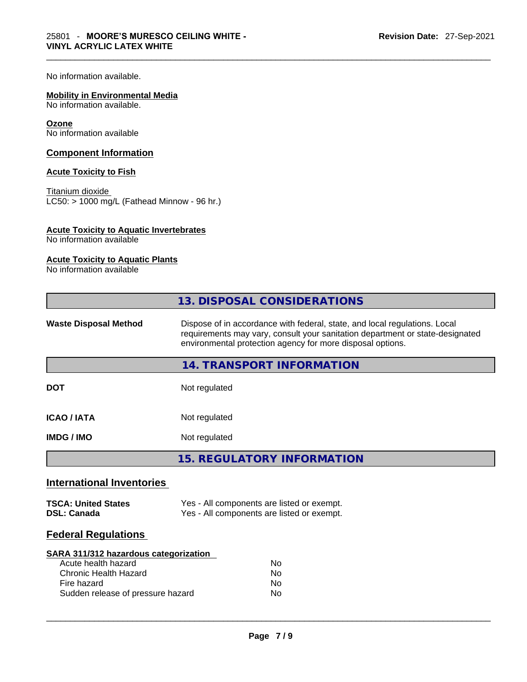No information available.

#### **Mobility in Environmental Media**

No information available.

#### **Ozone**

No information available

#### **Component Information**

#### **Acute Toxicity to Fish**

Titanium dioxide  $LC50: > 1000$  mg/L (Fathead Minnow - 96 hr.)

#### **Acute Toxicity to Aquatic Invertebrates**

No information available

#### **Acute Toxicity to Aquatic Plants**

No information available

| 13. DISPOSAL CONSIDERATIONS                                                                                                                                                                                                                               |  |
|-----------------------------------------------------------------------------------------------------------------------------------------------------------------------------------------------------------------------------------------------------------|--|
| Dispose of in accordance with federal, state, and local regulations. Local<br><b>Waste Disposal Method</b><br>requirements may vary, consult your sanitation department or state-designated<br>environmental protection agency for more disposal options. |  |
| 14. TRANSPORT INFORMATION                                                                                                                                                                                                                                 |  |
| Not regulated<br><b>DOT</b>                                                                                                                                                                                                                               |  |
| <b>ICAO/IATA</b><br>Not regulated                                                                                                                                                                                                                         |  |
| Not regulated<br><b>IMDG / IMO</b>                                                                                                                                                                                                                        |  |
| <b>15. REGULATORY INFORMATION</b>                                                                                                                                                                                                                         |  |
| <b>International Inventories</b>                                                                                                                                                                                                                          |  |
| Yes - All components are listed or exempt.<br><b>TSCA: United States</b><br>Yes - All components are listed or exempt.<br><b>DSL: Canada</b>                                                                                                              |  |
| <b>Federal Regulations</b>                                                                                                                                                                                                                                |  |
| SARA 311/312 hazardous categorization<br>Acute health hazard<br><b>No</b><br><b>Chronic Health Hazard</b><br>No<br>Fire hazard<br>No<br>Sudden release of pressure hazard<br>No                                                                           |  |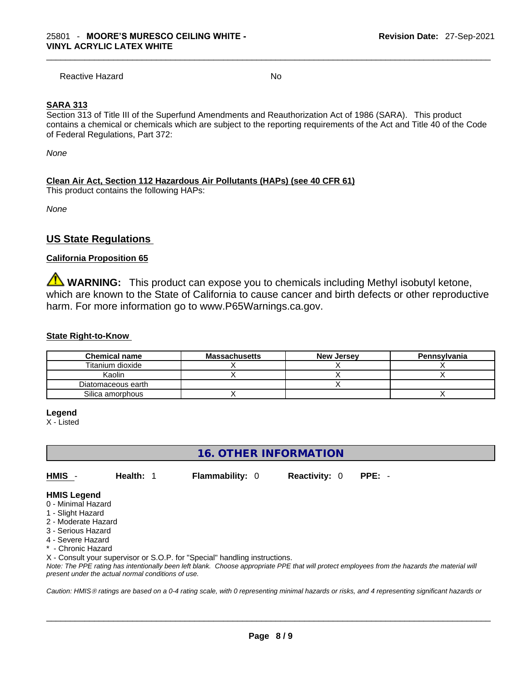Reactive Hazard No. No. 2014

#### **SARA 313**

Section 313 of Title III of the Superfund Amendments and Reauthorization Act of 1986 (SARA). This product contains a chemical or chemicals which are subject to the reporting requirements of the Act and Title 40 of the Code of Federal Regulations, Part 372:

*None*

#### **Clean Air Act,Section 112 Hazardous Air Pollutants (HAPs) (see 40 CFR 61)**

This product contains the following HAPs:

*None*

### **US State Regulations**

#### **California Proposition 65**

**WARNING:** This product can expose you to chemicals including Methyl isobutyl ketone, which are known to the State of California to cause cancer and birth defects or other reproductive harm. For more information go to www.P65Warnings.ca.gov.

#### **State Right-to-Know**

| <b>Chemical name</b> | <b>Massachusetts</b> | <b>New Jersey</b> | Pennsylvania |
|----------------------|----------------------|-------------------|--------------|
| Titanium dioxide     |                      |                   |              |
| Kaolin               |                      |                   |              |
| Diatomaceous earth   |                      |                   |              |
| Silica amorphous     |                      |                   |              |

#### **Legend**

X - Listed

# **16. OTHER INFORMATION**

**HMIS** - **Health:** 1 **Flammability:** 0 **Reactivity:** 0 **PPE:** -

#### **HMIS Legend**

- 0 Minimal Hazard
- 1 Slight Hazard
- 2 Moderate Hazard
- 3 Serious Hazard
- 4 Severe Hazard
- \* Chronic Hazard

X - Consult your supervisor or S.O.P. for "Special" handling instructions.

Note: The PPE rating has intentionally been left blank. Choose appropriate PPE that will protect employees from the hazards the material will *present under the actual normal conditions of use.* 

*Caution: HMISÒ ratings are based on a 0-4 rating scale, with 0 representing minimal hazards or risks, and 4 representing significant hazards or*